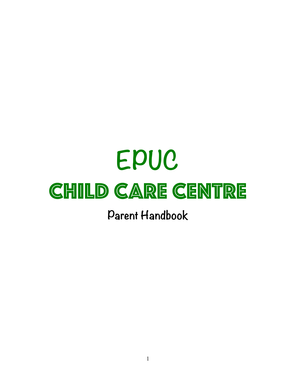# **EPUC CHILD CARE CENTRE**

**Parent Handbook**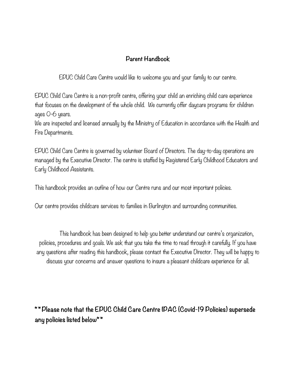# **Parent Handbook**

EPUC Child Care Centre would like to welcome you and your family to our centre.

EPUC Child Care Centre is a non-profit centre, offering your child an enriching child care experience that focuses on the development of the whole child. We currently offer daycare programs for children ages 0-6 years.

We are inspected and licensed annually by the Ministry of Education in accordance with the Health and Fire Departments.

EPUC Child Care Centre is governed by volunteer Board of Directors. The day-to-day operations are managed by the Executive Director. The centre is staffed by Registered Early Childhood Educators and Early Childhood Assistants.

This handbook provides an outline of how our Centre runs and our most important policies.

Our centre provides childcare services to families in Burlington and surrounding communities.

This handbook has been designed to help you better understand our centre's organization, policies, procedures and goals. We ask that you take the time to read through it carefully. If you have any questions after reading this handbook, please contact the Executive Director. They will be happy to discuss your concerns and answer questions to insure a pleasant childcare experience for all.

**\* \* Please note that the EPUC Child Care Centre IPAC (Covid-19 Policies) supersede any policies listed below\* \***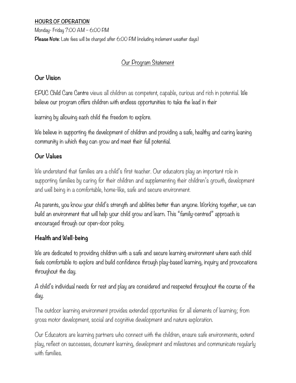# **HOURS OF OPERATION**

Monday- Friday 7:00 A.M – 6:00 P.M **Please Note**: Late fees will be charged after 6:00 P.M (including inclement weather days)

# Our Program Statement

# **Our Vision**

EPUC Child Care Centre views all children as competent, capable, curious and rich in potential. We believe our program offers children with endless opportunities to take the lead in their

learning by allowing each child the freedom to explore.

We believe in supporting the development of children and providing a safe, healthy and caring leaning community in which they can grow and meet their full potential.

# **Our Values**

We understand that families are a child's first teacher. Our educators play an important role in supporting families by caring for their children and supplementing their children's growth, development and well being in a comfortable, home-like, safe and secure environment.

As parents, you know your child's strength and abilities better than anyone. Working together, we can build an environment that will help your child grow and learn. This "family-centred" approach is encouraged through our open-door policy.

# **Health and Well-being**

We are dedicated to providing children with a safe and secure learning environment where each child feels comfortable to explore and build confidence through play-based learning, inquiry and provocations throughout the day.

A child's individual needs for rest and play are considered and respected throughout the course of the day.

The outdoor learning environment provides extended opportunities for all elements of learning; from gross motor development, social and cognitive development and nature exploration.

Our Educators are learning partners who connect with the children, ensure safe environments, extend play, reflect on successes, document learning, development and milestones and communicate regularly with families.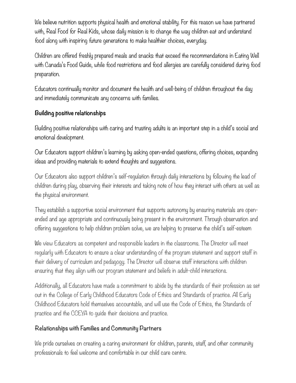We believe nutrition supports physical health and emotional stability. For this reason we have partnered with, Real Food for Real Kids, whose daily mission is to change the way children eat and understand food along with inspiring future generations to make healthier choices, everyday.

Children are offered freshly prepared meals and snacks that exceed the recommendations in Eating Well with Canada's Food Guide, while food restrictions and food allergies are carefully considered during food preparation.

Educators continually monitor and document the health and well-being of children throughout the day and immediately communicate any concerns with families.

# **Building positive relationships**

Building positive relationships with caring and trusting adults is an important step in a child's social and emotional development.

Our Educators support children's learning by asking open-ended questions, offering choices, expanding ideas and providing materials to extend thoughts and suggestions.

Our Educators also support children's self-regulation through daily interactions by following the lead of children during play, observing their interests and taking note of how they interact with others as well as the physical environment.

They establish a supportive social environment that supports autonomy by ensuring materials are openended and age appropriate and continuously being present in the environment. Through observation and offering suggestions to help children problem solve, we are helping to preserve the child's self-esteem

We view Educators as competent and responsible leaders in the classrooms. The Director will meet regularly with Educators to ensure a clear understanding of the program statement and support staff in their delivery of curriculum and pedagogy. The Director will observe staff interactions with children ensuring that they align with our program statement and beliefs in adult-child interactions.

Additionally, all Educators have made a commitment to abide by the standards of their profession as set out in the College of Early Childhood Educators Code of Ethics and Standards of practice. All Early Childhood Educators hold themselves accountable, and will use the Code of Ethics, the Standards of practice and the CCEYA to guide their decisions and practice.

# **Relationships with Families and Community Partners**

We pride ourselves on creating a caring environment for children, parents, staff, and other community professionals to feel welcome and comfortable in our child care centre.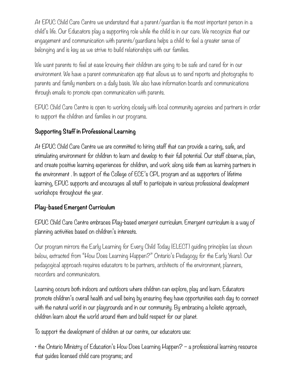At EPUC Child Care Centre we understand that a parent/guardian is the most important person in a child's life. Our Educators play a supporting role while the child is in our care. We recognize that our engagement and communication with parents/guardians helps a child to feel a greater sense of belonging and is key as we strive to build relationships with our families.

We want parents to feel at ease knowing their children are going to be safe and cared for in our environment. We have a parent communication app that allows us to send reports and photographs to parents and family members on a daily basis. We also have information boards and communications through emails to promote open communication with parents.

EPUC Child Care Centre is open to working closely with local community agencies and partners in order to support the children and families in our programs.

# **Supporting Staff in Professional Learning**

At EPUC Child Care Centre we are committed to hiring staff that can provide a caring, safe, and stimulating environment for children to learn and develop to their full potential. Our staff observe, plan, and create positive learning experiences for children, and work along side them as learning partners in the environment . In support of the College of ECE's CPL program and as supporters of lifetime learning, EPUC supports and encourages all staff to participate in various professional development workshops throughout the year.

# **Play-based Emergent Curriculum**

EPUC Child Care Centre embraces Play-based emergent curriculum. Emergent curriculum is a way of planning activities based on children's interests.

Our program mirrors the Early Learning for Every Child Today (ELECT) guiding principles (as shown below, extracted from "How Does Learning Happen?" Ontario's Pedagogy for the Early Years). Our pedagogical approach requires educators to be partners, architects of the environment, planners, recorders and communicators.

Learning occurs both indoors and outdoors where children can explore, play and learn. Educators promote children's overall health and well being by ensuring they have opportunities each day to connect with the natural world in our playgrounds and in our community. By embracing a holistic approach, children learn about the world around them and build respect for our planet.

To support the development of children at our centre, our educators use:

• the Ontario Ministry of Education's How Does Learning Happen? – a professional learning resource that guides licensed child care programs; and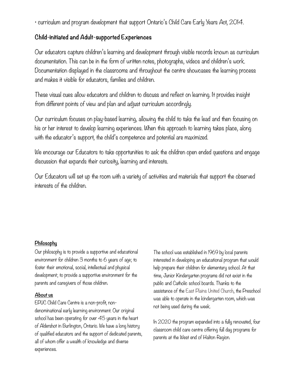• curriculum and program development that support Ontario's Child Care Early Years Act, 2014.

# **Child-initiated and Adult-supported Experiences**

Our educators capture children's learning and development through visible records known as curriculum documentation. This can be in the form of written notes, photographs, videos and children's work. Documentation displayed in the classrooms and throughout the centre showcases the learning process and makes it visible for educators, families and children.

These visual cues allow educators and children to discuss and reflect on learning. It provides insight from different points of view and plan and adjust curriculum accordingly.

Our curriculum focuses on play-based learning, allowing the child to take the lead and then focusing on his or her interest to develop learning experiences. When this approach to learning takes place, along with the educator's support, the child's competence and potential are maximized.

We encourage our Educators to take opportunities to ask the children open ended questions and engage discussion that expands their curiosity, learning and interests.

Our Educators will set up the room with a variety of activities and materials that support the observed interests of the children.

# **Philosophy**

Our philosophy is to provide a supportive and educational environment for children 3 months to 6 years of age; to foster their emotional, social, intellectual and physical development; to provide a supportive environment for the parents and caregivers of those children.

# **About us**

EPUC Child Care Centre is a non-profit, nondenominational early learning environment. Our original school has been operating for over 45 years in the heart of Aldershot in Burlington, Ontario. We have a long history of qualified educators and the support of dedicated parents, all of whom offer a wealth of knowledge and diverse experiences.

The school was established in 1969 by local parents interested in developing an educational program that would help prepare their children for elementary school. At that time, Junior Kindergarten programs did not exist in the public and Catholic school boards. Thanks to the assistance of the [East Plains United Church](http://www.eastplainsunitedchurch.com/%2522%2520%255Co%2520%2522http://www.eastplainsunitedchurch.com/), the Preschool was able to operate in the kindergarten room, which was not being used during the week.

In 2020 the program expanded into a fully renovated, four classroom child care centre offering full day programs for parents at the West end of Halton Region.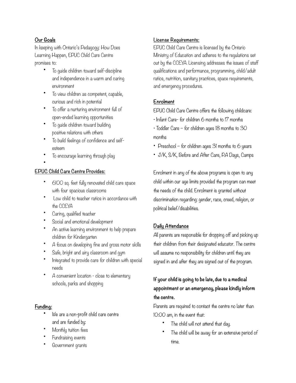# **Our Goals**

In keeping with Ontario's Pedagogy: How Does Learning Happen, EPUC Child Care Centre promises to:

- To guide children toward self-discipline and independence in a warm and caring environment
- To view children as competent, capable, curious and rich in potential
- To offer a nurturing environment full of open-ended learning opportunities
- To guide children toward building positive relations with others
- To build feelings of confidence and selfesteem
- To encourage learning through play
- •

# **EPUC Child Care Centre Provides:**

- 6100 sq. feet fully renovated child care space with four spacious classrooms
- Low child to teacher ratios in accordance with the CCEYA
- Caring, qualified teacher
- Social and emotional development
- An active learning environment to help prepare children for Kindergarten
- A focus on developing fine and gross motor skills
- Safe, bright and airy classroom and gym
- Integrated to provide care for children with special needs
- A convenient location close to elementary schools, parks and shopping

# **Funding:**

- We are a non-profit child care centre and are funded by:
- Monthly tuition fees
- Fundraising events
- Government grants

# **License Requirements:**

EPUC Child Care Centre is licensed by the Ontario Ministry of Education and adheres to the regulations set out by the CCEYA. Licensing addresses the issues of staff qualifications and performance, programming, child/adult ratios, nutrition, sanitary practices, space requirements, and emergency procedures.

# **Enrolment**

EPUC Child Care Centre offers the following childcare:

- Infant Care- for children 6 months to 17 months
- Toddler Care for children ages 18 months to 30 months
- Preschool for children ages 31 months to 6 years
- J/K, S/K, Before and After Care, P.A Days, Camps

Enrolment in any of the above programs is open to any child within our age limits provided the program can meet the needs of the child. Enrolment is granted without discrimination regarding: gender, race, creed, religion, or political belief/disabilities.

# **Daily Attendance**

All parents are responsible for dropping off and picking up their children from their designated educator. The centre will assume no responsibility for children until they are signed in and after they are signed out of the program.

# **If your child is going to be late, due to a medical appointment or an emergency, please kindly inform the centre.**

Parents are required to contact the centre no later than 10:00 am, in the event that:

- The child will not attend that day.
- The child will be away for an extensive period of time.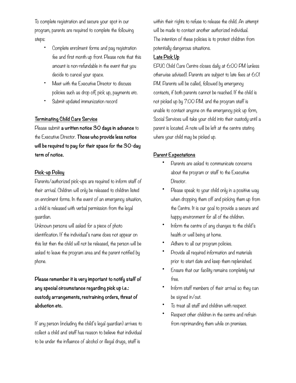To complete registration and secure your spot in our program, parents are required to complete the following steps:

- Complete enrolment forms and pay registration fee and first month up front. Please note that this amount is non-refundable in the event that you decide to cancel your space.
- Meet with the Executive Director to discuss policies such as drop off, pick up, payments etc.
- Submit updated immunization record

## **Terminating Child Care Service**

Please submit **a written notice 30 days in advance** to the Executive Director. **Those who provide less notice will be required to pay for their space for the 30-day term of notice.** 

# **Pick-up Policy**

Parents/authorized pick-ups are required to inform staff of their arrival. Children will only be released to children listed on enrolment forms. In the event of an emergency situation, a child is released with verbal permission from the legal guardian.

Unknown persons will asked for a piece of photo identification. If the individual's name does not appear on this list then the child will not be released, the person will be asked to leave the program area and the parent notified by phone.

**Please remember it is very important to notify staff of any special circumstance regarding pick up i.e.: custody arrangements, restraining orders, threat of abduction etc.** 

If any person (including the child's legal guardian) arrives to collect a child and staff has reason to believe that individual to be under the influence of alcohol or illegal drugs, staff is

within their rights to refuse to release the child. An attempt will be made to contact another authorized individual. The intention of these policies is to protect children from potentially dangerous situations.

## **Late Pick Up**

EPUC Child Care Centre closes daily at 6:00 PM (unless otherwise advised). Parents are subject to late fees at 6:01 PM. Parents will be called, followed by emergency contacts, if both parents cannot be reached. If the child is not picked up by 7:00 P.M. and the program staff is unable to contact anyone on the emergency pick up form, Social Services will take your child into their custody until a parent is located. A note will be left at the centre stating where your child may be picked up.

# **Parent Expectations**

- Parents are asked to communicate concerns about the program or staff to the Executive Director.
- Please speak to your child only in a positive way when dropping them off and picking them up from the Centre. It is our goal to provide a secure and happy environment for all of the children.
- Inform the centre of any changes to the child's health or well being at home.
- Adhere to all our program policies.
- Provide all required information and materials prior to start date and keep them replenished.
- Ensure that our facility remains completely nut free.
- Inform staff members of their arrival so they can be signed in/out.
- To treat all staff and children with respect.
- Respect other children in the centre and refrain from reprimanding them while on premises.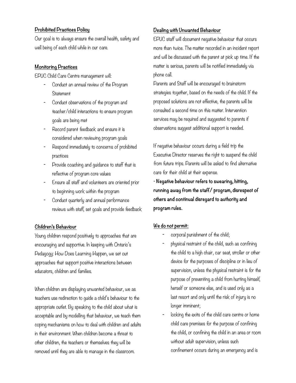## **Prohibited Practices Policy**

Our goal is to always ensure the overall health, safety and well being of each child while in our care.

## **Monitoring Practices**

EPUC Child Care Centre management will:

- Conduct an annual review of the Program **Statement**
- Conduct observations of the program and teacher/child interactions to ensure program goals are being met
- Record parent feedback and ensure it is considered when reviewing program goals
- Respond immediately to concerns of prohibited practices
- Provide coaching and guidance to staff that is reflective of program core values
- Ensure all staff and volunteers are oriented prior to beginning work within the program
- Conduct quarterly and annual performance reviews with staff, set goals and provide feedback

# **Children's Behaviour**

Young children respond positively to approaches that are encouraging and supportive. In keeping with Ontario's Pedagogy: How Does Learning Happen, we set out approaches that support positive interactions between educators, children and families.

When children are displaying unwanted behaviour, we as teachers use redirection to guide a child's behaviour to the appropriate outlet. By speaking to the child about what is acceptable and by modelling that behaviour, we teach them coping mechanisms on how to deal with children and adults in their environment. When children become a threat to other children, the teachers or themselves they will be removed until they are able to manage in the classroom.

# **Dealing with Unwanted Behaviour**

EPUC staff will document negative behaviour that occurs more than twice. The matter recorded in an incident report and will be discussed with the parent at pick up time. If the matter is serious, parents will be notified immediately via phone call.

Parents and Staff will be encouraged to brainstorm strategies together, based on the needs of the child. If the proposed solutions are not effective, the parents will be consulted a second time on this matter. Intervention services may be required and suggested to parents if observations suggest additional support is needed.

If negative behaviour occurs during a field trip the Executive Director reserves the right to suspend the child from future trips. Parents will be asked to find alternative care for their child at their expense.

• **Negative behaviour refers to swearing, hitting, running away from the staff/ program, disrespect of others and continual disregard to authority and program rules.** 

## **We do not permit:**

- corporal punishment of the child;
- physical restraint of the child, such as confining the child to a high chair, car seat, stroller or other device for the purposes of discipline or in lieu of supervision, unless the physical restraint is for the purpose of preventing a child from hurting himself, herself or someone else, and is used only as a last resort and only until the risk of injury is no longer imminent;
- locking the exits of the child care centre or home child care premises for the purpose of confining the child, or confining the child in an area or room without adult supervision, unless such confinement occurs during an emergency and is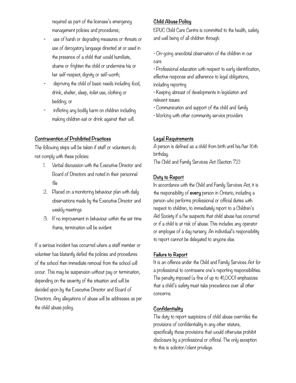required as part of the licensee's emergency management policies and procedures;

- use of harsh or degrading measures or threats or use of derogatory language directed at or used in the presence of a child that would humiliate, shame or frighten the child or undermine his or her self-respect, dignity or self-worth;
- depriving the child of basic needs including food, drink, shelter, sleep, toilet use, clothing or bedding; or
- inflicting any bodily harm on children including making children eat or drink against their will.

## **Contravention of Prohibited Practices**

The following steps will be taken if staff or volunteers do not comply with these policies:

- 1. Verbal discussion with the Executive Director and Board of Directors and noted in their personnel file
- 2. Placed on a monitoring behaviour plan with daily observations made by the Executive Director and weekly meetings
- 3. If no improvement in behaviour within the set time frame, termination will be evident.

If a serious incident has occurred where a staff member or volunteer has blatantly defied the policies and procedures of the school then immediate removal from the school will occur. This may be suspension without pay or termination, depending on the severity of the situation and will be decided upon by the Executive Director and Board of Directors. Any allegations of abuse will be addresses as per the child abuse policy.

# **Child Abuse Policy**

EPUC Child Care Centre is committed to the health, safety and well being of all children through:

• On-going anecdotal observation of the children in our care

• Professional education with respect to early identification, effective response and adherence to legal obligations, including reporting

• Keeping abreast of developments in legislation and relevant issues

• Communication and support of the child and family

• Working with other community service providers

# **Legal Requirements**

A person is defined as a child from birth until his/her 16th birthday.

The Child and Family Services Act (Section 72)

## **Duty to Report**

In accordance with the Child and Family Services Act, it is the responsibility of **every** person in Ontario, including a person who performs professional or official duties with respect to children, to immediately report to a Children's Aid Society if s/he suspects that child abuse has occurred or if a child is at risk of abuse. This includes any operator or employee of a day nursery. An individual's responsibility to report cannot be delegated to anyone else.

## **Failure to Report**

It is an offence under the Child and Family Services Act for a professional to contravene one's reporting responsibilities. The penalty imposed (a fine of up to \$1,000) emphasizes that a child's safety must take precedence over all other concerns.

# **Confidentiality**

The duty to report suspicions of child abuse overrides the provisions of confidentiality in any other stature, specifically those provisions that would otherwise prohibit disclosure by a professional or official. The only exception to this is solicitor/client privilege.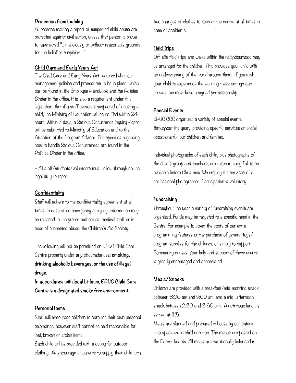# **Protection from Liability**

All persons making a report of suspected child abuse are protected against civil action, unless that person is proven to have acted "…maliciously or without reasonable grounds for the belief or suspicion…"

# **Child Care and Early Years Act**

The Child Care and Early Years Act requires behaviour management policies and procedures to be in place, which can be found in the Employee Handbook and the Policies Binder in the office. It is also a requirement under this legislation, that if a staff person is suspected of abusing a child, the Ministry of Education will be notified within 24 hours. Within 7 days, a Serious Occurrence Inquiry Report will be submitted to Ministry of Education and to the Attention of the Program Advisor. The specifics regarding how to handle Serious Occurrences are found in the Policies Binder in the office.

– All staff/students/volunteers must follow through on the legal duty to report.

# **Confidentiality**

Staff will adhere to the confidentiality agreement at all times. In case of an emergency or injury, information may be released to the proper authorities, medical staff or in case of suspected abuse, the Children's Aid Society.

The following will not be permitted on EPUC Child Care Centre property under any circumstances: **smoking, drinking alcoholic beverages, or the use of illegal drugs.**

**In accordance with local bi-laws, EPUC Child Care Centre is a designated smoke free environment.** 

# **Personal Items**

Staff will encourage children to care for their own personal belongings, however staff cannot be held responsible for lost, broken or stolen items.

Each child will be provided with a cubby for outdoor clothing. We encourage all parents to supply their child with two changes of clothes to keep at the centre at all times in case of accidents.

# **Field Trips**

Off-site field trips and walks within the neighbourhood may be arranged for the children. This provides your child with an understanding of the world around them. If you wish your child to experience the learning these outings can provide, we must have a signed permission slip.

# **Special Events**

EPUC CCC organizes a variety of special events throughout the year, providing specific services or social occasions for our children and families.

Individual photographs of each child, plus photographs of the child's group and teachers, are taken in early Fall to be available before Christmas. We employ the services of a professional photographer. Participation is voluntary.

# **Fundraising**

Throughout the year a variety of fundraising events are organized. Funds may be targeted to a specific need in the Centre. For example to cover the costs of our extra programming features or the purchase of general toys/ program supplies for the children, or simply to support Community causes. Your help and support of these events is greatly encouraged and appreciated.

# **Meals/Snacks**

Children are provided with a breakfast/mid-morning snack between 8:00 am and 9:00 am. and a mid- afternoon snack between 2:30 and 3:30 p.m. A nutritious lunch is served at 11:15.

Meals are planned and prepared in house by our caterer who specialize in child nutrition. The menus are posted on the Parent boards. All meals are nutritionally balanced in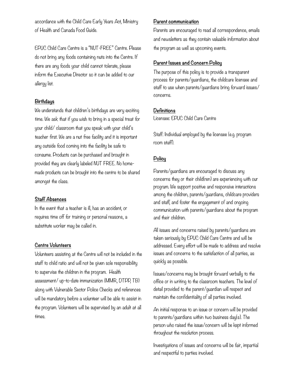accordance with the Child Care Early Years Act, Ministry of Health and Canada Food Guide.

EPUC Child Care Centre is a "NUT-FREE" Centre. Please do not bring any foods containing nuts into the Centre. If there are any foods your child cannot tolerate, please inform the Executive Director so it can be added to our allergy list.

#### **Birthdays**

We understands that children's birthdays are very exciting time. We ask that if you wish to bring in a special treat for your child/ classroom that you speak with your child's teacher first. We are a nut free facility and it is important any outside food coming into the facility be safe to consume. Products can be purchased and brought in provided they are clearly labeled NUT FREE. No homemade products can be brought into the centre to be shared amongst the class.

#### **Staff Absences**

In the event that a teacher is ill, has an accident, or requires time off for training or personal reasons, a substitute worker may be called in.

## **Centre Volunteers**

Volunteers assisting at the Centre will not be included in the staff to child ratio and will not be given sole responsibility to supervise the children in the program. Health assessment/ up-to-date immunization (MMR, DTPP, TB) along with Vulnerable Sector Police Checks and references will be mandatory before a volunteer will be able to assist in the program. Volunteers will be supervised by an adult at all times.

#### **Parent communication**

Parents are encouraged to read all correspondence, emails and newsletters as they contain valuable information about the program as well as upcoming events.

#### **Parent Issues and Concern Policy**

The purpose of this policy is to provide a transparent process for parents/guardians, the childcare licensee and staff to use when parents/guardians bring forward issues/ concerns.

#### **Definitions**

Licensee: EPUC Child Care Centre

Staff: Individual employed by the licensee (e.g. program room staff).

#### **Policy**

Parents/guardians are encouraged to discuss any concerns they or their child(ren) are experiencing with our program. We support positive and responsive interactions among the children, parents/guardians, childcare providers and staff, and foster the engagement of and ongoing communication with parents/guardians about the program and their children.

All issues and concerns raised by parents/guardians are taken seriously by EPUC Child Care Centre and will be addressed. Every effort will be made to address and resolve issues and concerns to the satisfaction of all parties, as quickly as possible.

Issues/concerns may be brought forward verbally to the office or in writing to the classroom teachers. The level of detail provided to the parent/guardian will respect and maintain the confidentiality of all parties involved.

An initial response to an issue or concern will be provided to parents/guardians within two business day(s). The person who raised the issue/concern will be kept informed throughout the resolution process.

Investigations of issues and concerns will be fair, impartial and respectful to parties involved.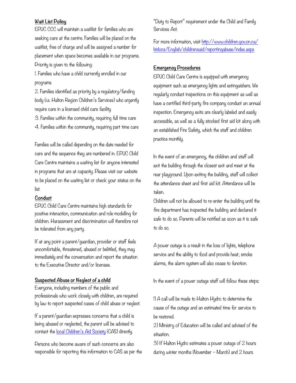#### **Wait List Policy**

EPUC CCC will maintain a waitlist for families who are seeking care at the centre. Families will be placed on the waitlist, free of charge and will be assigned a number for placement when space becomes available in our programs. Priority is given to the following:

1. Families who have a child currently enrolled in our programs

2. Families identified as priority by a regulatory/funding body (i.e. Halton Region Children's Services) who urgently require care in a licensed child care facility

3. Families within the community, requiring full time care

4. Families within the community, requiring part time care

Families will be called depending on the date needed for care and the sequence they are numbered in. EPUC Child Care Centre maintains a waiting list for anyone interested in programs that are at capacity. Please visit our website to be placed on the waiting list or check your status on the list.

#### **Conduct**

EPUC Child Care Centre maintains high standards for positive interaction, communication and role modelling for children. Harassment and discrimination will therefore not be tolerated from any party.

If at any point a parent/guardian, provider or staff feels uncomfortable, threatened, abused or belittled, they may immediately end the conversation and report the situation to the Executive Director and/or licensee.

#### **Suspected Abuse or Neglect of a child**

Everyone, including members of the public and professionals who work closely with children, are required by law to report suspected cases of child abuse or neglect.

If a parent/guardian expresses concerns that a child is being abused or neglected, the parent will be advised to contact the [local Children's Aid Society](http://www.children.gov.on.ca/htdocs/English/childrensaid/reportingabuse/CASLocations.aspx) (CAS) directly.

Persons who become aware of such concerns are also responsible for reporting this information to CAS as per the "Duty to Report" requirement under the Child and Family Services Act.

[For more information, visit http://www.children.gov.on.ca/](http://www.children.gov.on.ca/htdocs/English/childrensaid/reportingabuse/index.aspx) [htdocs/English/childrensaid/reportingabuse/index.aspx](http://www.children.gov.on.ca/htdocs/English/childrensaid/reportingabuse/index.aspx)

#### **Emergency Procedures**

EPUC Child Care Centre is equipped with emergency equipment such as emergency lights and extinguishers. We regularly conduct inspections on this equipment as well as have a certified third-party fire company conduct an annual inspection. Emergency exits are clearly labeled and easily accessible, as well as a fully stocked first aid kit along with an established Fire Safety, which the staff and children practice monthly.

In the event of an emergency, the children and staff will exit the building through the closest exit and meet at the rear playground. Upon exiting the building, staff will collect the attendance sheet and first aid kit. Attendance will be taken.

Children will not be allowed to re-enter the building until the fire department has inspected the building and declared it safe to do so. Parents will be notified as soon as it is safe to do so.

A power outage is a result in the loss of lights, telephone service and the ability to food and provide heat; smoke alarms, the alarm system will also cease to function.

In the event of a power outage staff will follow these steps:

1) A call will be made to Halton Hydro to determine the cause of the outage and an estimated time for service to be restored.

2) Ministry of Education will be called and advised of the situation.

3) If Halton Hydro estimates a power outage of 2 hours during winter months (November – March) and 2 hours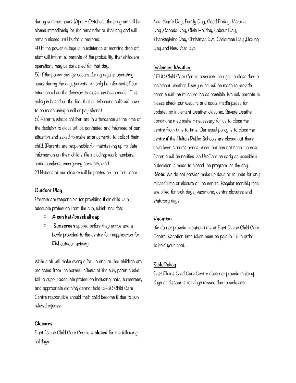during summer hours (April – October), the program will be closed immediately for the remainder of that day and will remain closed until hydro is restored.

4) If the power outage is in existence at morning drop off, staff will inform all parents of the probability that childcare operations may be cancelled for that day.

5) If the power outage occurs during regular operating hours during the day, parents will only be informed of our situation when the decision to close has been made. (This policy is based on the fact that all telephone calls will have to be made using a cell or pay phone).

6) Parents whose children are in attendance at the time of the decision to close will be contacted and informed of our situation and asked to make arrangements to collect their child. (Parents are responsible for maintaining up-to-date information on their child's file including: work numbers, home numbers, emergency contacts, etc.)

7) Notices of our closure will be posted on the front door.

#### **Outdoor Play**

Parents are responsible for providing their child with adequate protection from the sun, which includes:

- o **A sun hat/baseball cap**
- o **Sunscreen** applied before they arrive and a bottle provided to the centre for reapplication for PM outdoor activity

While staff will make every effort to ensure that children are protected from the harmful effects of the sun, parents who fail to supply adequate protection including: hats, sunscreen, and appropriate clothing cannot hold EPUC Child Care Centre responsible should their child become ill due to sun related injuries.

#### **Closures**

East Plains Child Care Centre is **closed** for the following holidays:

New Year's Day, Family Day, Good Friday, Victoria Day ,Canada Day, Civic Holiday, Labour Day, Thanksgiving Day, Christmas Eve, Christmas Day ,Boxing Day and New Year Eve

#### **Inclement Weather**

EPUC Child Care Centre reserves the right to close due to inclement weather. Every effort will be made to provide parents with as much notice as possible. We ask parents to please check our website and social media pages for updates on inclement weather closures. Severe weather conditions may make it necessary for us to close the centre from time to time. Our usual policy is to close the centre if the Halton Public Schools are closed but there have been circumstances when that has not been the case. Parents will be notified via ProCare as early as possible if a decision is made to closed the program for the day. **Note:** We do not provide make up days or refunds for any missed time or closure of the centre. Regular monthly fees are billed for sick days, vacations, centre closures and statutory days.

#### **Vacation**

We do not provide vacation time at East Plains Child Care Centre. Vacation time taken must be paid in full in order to hold your spot.

## **Sick Policy**

East Plains Child Care Centre does not provide make up days or discounts for days missed due to sickness.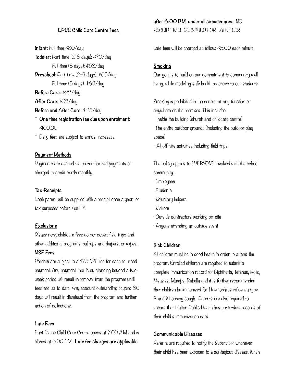# **EPUC Child Care Centre Fees**

**Infant:** Full time \$80/day **Toddler:** Part time (2-3 days): \$70/day Full time (5 days): \$68/day **Preschool:** Part time (2-3 days): \$65/day Full time (5 days): \$63/day **Before Care:** \$22/day **After Care:** \$32/day **Before and After Care:** \$45/day \* **One time registration fee due upon enrolment:** 

- \$100.00
- \* Daily fees are subject to annual increases

#### **Payment Methods**

Payments are debited via pre-authorized payments or charged to credit cards monthly.

#### **Tax Receipts**

Each parent will be supplied with a receipt once a year for tax purposes before April 1st.

## **Exclusions**

Please note, childcare fees do not cover: field trips and other additional programs, pull-ups and diapers, or wipes. **NSF Fees** 

Parents are subject to a \$75 NSF fee for each returned payment. Any payment that is outstanding beyond a twoweek period will result in removal from the program until fees are up-to-date. Any account outstanding beyond 30 days will result in dismissal from the program and further action of collections.

#### **Late Fees**

East Plains Child Care Centre opens at 7:00 A.M and is closed at 6:00 P.M. **Late fee charges are applicable** 

**after 6:00 P.M. under all circumstance.** NO RECEIPT WILL BE ISSUED FOR LATE FEES

Late fees will be charged as follow: \$5.00 each minute

## **Smoking**

Our goal is to build on our commitment to community well being, while modeling safe health practices to our students.

Smoking is prohibited in the centre, at any function or anywhere on the premises. This includes:

- Inside the building (church and childcare centre)
- -The entire outdoor grounds (including the outdoor play space)
- All off-site activities including field trips

The policy applies to EVERYONE involved with the school community:

- · Employees
- · Students
- · Voluntary helpers
- · Visitors
- · Outside contractors working on-site
- · Anyone attending an outside event

#### **Sick Children**

All children must be in good health in order to attend the program. Enrolled children are required to submit a complete immunization record for Diphtheria, Tetanus, Polio, Measles, Mumps, Rubella and it is further recommended that children be immunized for Haemophilus influenza type B and Whopping cough. Parents are also required to ensure that Halton Public Health has up-to-date records of their child's immunization card.

## **Communicable Diseases**

Parents are required to notify the Supervisor whenever their child has been exposed to a contagious disease. When